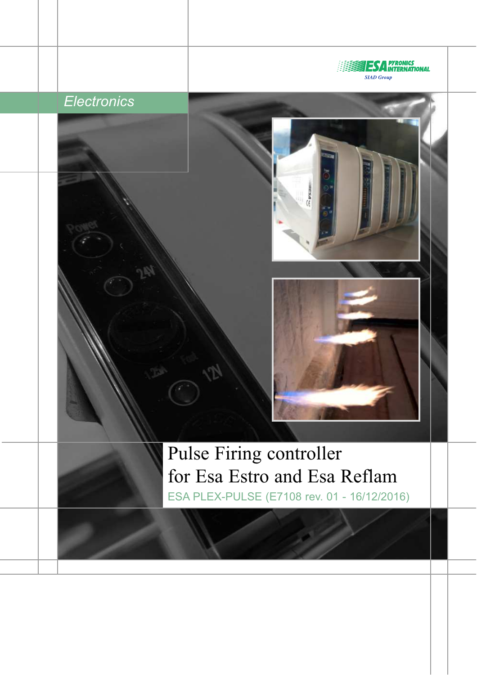

# *Electronics*



 $\tilde{\epsilon}$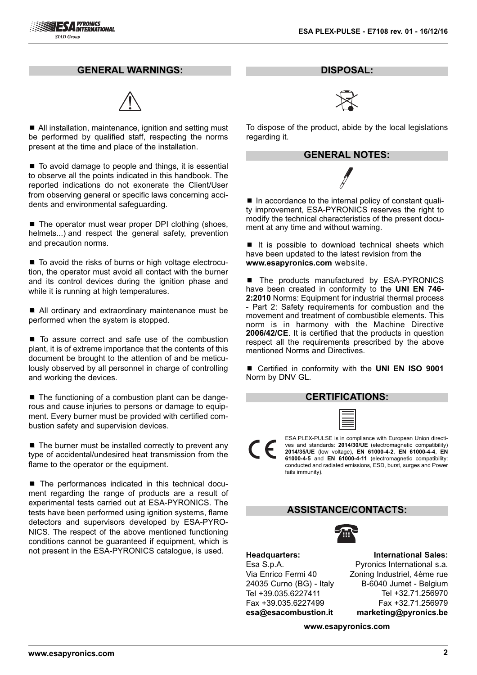#### **GENERAL WARNINGS:**



■ All installation, maintenance, ignition and setting must be performed by qualified staff, respecting the norms present at the time and place of the installation.

 $\blacksquare$  To avoid damage to people and things, it is essential to observe all the points indicated in this handbook. The reported indications do not exonerate the Client/User from observing general or specific laws concerning accidents and environmental safeguarding.

■ The operator must wear proper DPI clothing (shoes, helmets...) and respect the general safety, prevention and precaution norms.

■ To avoid the risks of burns or high voltage electrocution, the operator must avoid all contact with the burner and its control devices during the ignition phase and while it is running at high temperatures.

■ All ordinary and extraordinary maintenance must be performed when the system is stopped.

■ To assure correct and safe use of the combustion plant, it is of extreme importance that the contents of this document be brought to the attention of and be meticulously observed by all personnel in charge of controlling and working the devices.

■ The functioning of a combustion plant can be dangerous and cause injuries to persons or damage to equipment. Every burner must be provided with certified combustion safety and supervision devices.

 $\blacksquare$  The burner must be installed correctly to prevent any type of accidental/undesired heat transmission from the flame to the operator or the equipment.

■ The performances indicated in this technical document regarding the range of products are a result of experimental tests carried out at ESA-PYRONICS. The tests have been performed using ignition systems, flame detectors and supervisors developed by ESA-PYRO-NICS. The respect of the above mentioned functioning conditions cannot be guaranteed if equipment, which is not present in the ESA-PYRONICS catalogue, is used.

**DISPOSAL:**



To dispose of the product, abide by the local legislations regarding it.



■ In accordance to the internal policy of constant quality improvement, ESA-PYRONICS reserves the right to modify the technical characteristics of the present document at any time and without warning.

■ It is possible to download technical sheets which have been updated to the latest revision from the **www.esapyronics.com** website.

■ The products manufactured by ESA-PYRONICS have been created in conformity to the **UNI EN 746- 2:2010** Norms: Equipment for industrial thermal process - Part 2: Safety requirements for combustion and the movement and treatment of combustible elements. This norm is in harmony with the Machine Directive **2006/42/CE**. It is certified that the products in question respect all the requirements prescribed by the above mentioned Norms and Directives.

■ Certified in conformity with the **UNI EN ISO 9001** Norm by DNV GL.

#### **CERTIFICATIONS:**

ESA PLEX-PULSE is in compliance with European Union directives and standards: **2014/30/UE** (electromagnetic compatibility) **2014/35/UE** (low voltage), **EN 61000-4-2**, **EN 61000-4-4**, **EN 61000-4-5** and **EN 61000-4-11** (electromagnetic compatibility: conducted and radiated emissions, ESD, burst, surges and Power fails immunity).

#### **ASSISTANCE/CONTACTS:**



**Headquarters:** Esa S.p.A. Via Enrico Fermi 40 24035 Curno (BG) - Italy Tel +39.035.6227411 Fax +39.035.6227499 **esa@esacombustion.it**

**International Sales:** Pyronics International s.a. Zoning Industriel, 4ème rue B-6040 Jumet - Belgium Tel +32.71.256970 Fax +32.71.256979 **marketing@pyronics.be**

**www.esapyronics.com**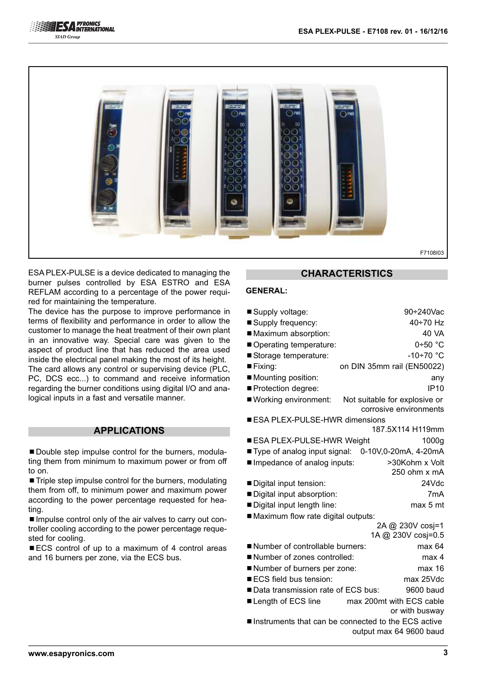



ESA PLEX-PULSE is a device dedicated to managing the burner pulses controlled by ESA ESTRO and ESA REFLAM according to a percentage of the power required for maintaining the temperature.

The device has the purpose to improve performance in terms of flexibility and performance in order to allow the customer to manage the heat treatment of their own plant in an innovative way. Special care was given to the aspect of product line that has reduced the area used inside the electrical panel making the most of its height. The card allows any control or supervising device (PLC, PC, DCS ecc...) to command and receive information regarding the burner conditions using digital I/O and analogical inputs in a fast and versatile manner.

#### **APPLICATIONS**

■ Double step impulse control for the burners, modulating them from minimum to maximum power or from off to on.

■ Triple step impulse control for the burners, modulating them from off, to minimum power and maximum power according to the power percentage requested for heating.

■ Impulse control only of the air valves to carry out controller cooling according to the power percentage requested for cooling.

■ ECS control of up to a maximum of 4 control areas and 16 burners per zone, via the ECS bus.

## **CHARACTERISTICS**

#### **GENERAL:**

| ■ Supply voltage:                                     | 90÷240Vac                              |
|-------------------------------------------------------|----------------------------------------|
| ■ Supply frequency:                                   | 40÷70 Hz                               |
| Maximum absorption:                                   | 40 VA                                  |
| Operating temperature:                                | $0+50$ °C                              |
| Storage temperature:                                  | -10÷70 °C                              |
| $\blacksquare$ Fixing:                                | on DIN 35mm rail (EN50022)             |
| Mounting position:                                    | any                                    |
| Protection degree:                                    | <b>IP10</b>                            |
| ■ Working environment:                                | Not suitable for explosive or          |
|                                                       | corrosive environments                 |
| ■ ESA PLEX-PULSE-HWR dimensions                       |                                        |
|                                                       | 187.5X114 H119mm                       |
| ■ ESA PLEX-PULSE-HWR Weight                           | 1000g                                  |
| ■ Type of analog input signal: 0-10V,0-20mA, 4-20mA   |                                        |
| Impedance of analog inputs:                           | >30Kohm x Volt                         |
|                                                       | 250 ohm x mA                           |
| Digital input tension:                                | 24Vdc                                  |
| Digital input absorption:                             | 7 <sub>m</sub> A                       |
| Digital input length line:                            | max 5 mt                               |
| Maximum flow rate digital outputs:                    |                                        |
|                                                       | 2A @ 230V cosj=1<br>1A @ 230V cosj=0.5 |
| Number of controllable burners:                       | max 64                                 |
| Number of zones controlled:                           | max 4                                  |
|                                                       | max 16                                 |
| Number of burners per zone:<br>ECS field bus tension: | max 25Vdc                              |
| ■ Data transmission rate of ECS bus:                  | 9600 baud                              |
|                                                       | max 200mt with ECS cable               |
| ■ Length of ECS line                                  | or with busway                         |
|                                                       |                                        |

■ Instruments that can be connected to the ECS active output max 64 9600 baud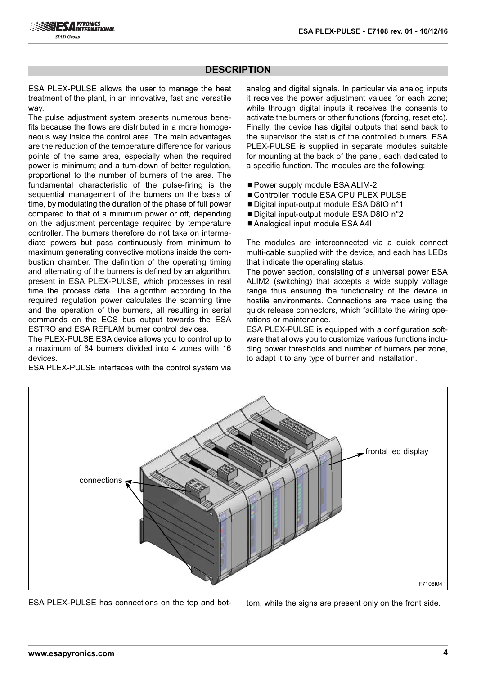## **DESCRIPTION**

ESA PLEX-PULSE allows the user to manage the heat treatment of the plant, in an innovative, fast and versatile way.

The pulse adjustment system presents numerous benefits because the flows are distributed in a more homogeneous way inside the control area. The main advantages are the reduction of the temperature difference for various points of the same area, especially when the required power is minimum; and a turn-down of better regulation, proportional to the number of burners of the area. The fundamental characteristic of the pulse-firing is the sequential management of the burners on the basis of time, by modulating the duration of the phase of full power compared to that of a minimum power or off, depending on the adjustment percentage required by temperature controller. The burners therefore do not take on intermediate powers but pass continuously from minimum to maximum generating convective motions inside the combustion chamber. The definition of the operating timing and alternating of the burners is defined by an algorithm, present in ESA PLEX-PULSE, which processes in real time the process data. The algorithm according to the required regulation power calculates the scanning time and the operation of the burners, all resulting in serial commands on the ECS bus output towards the ESA ESTRO and ESA REFLAM burner control devices.

The PLEX-PULSE ESA device allows you to control up to a maximum of 64 burners divided into 4 zones with 16 devices.

ESA PLEX-PULSE interfaces with the control system via

analog and digital signals. In particular via analog inputs it receives the power adjustment values for each zone; while through digital inputs it receives the consents to activate the burners or other functions (forcing, reset etc). Finally, the device has digital outputs that send back to the supervisor the status of the controlled burners. ESA PLEX-PULSE is supplied in separate modules suitable for mounting at the back of the panel, each dedicated to a specific function. The modules are the following:

- Power supply module ESA ALIM-2
- Controller module ESA CPU PLEX PULSE
- Digital input-output module ESA D8IO n°1
- Digital input-output module ESA D8IO n°2
- Analogical input module ESA A4I

The modules are interconnected via a quick connect multi-cable supplied with the device, and each has LEDs that indicate the operating status.

The power section, consisting of a universal power ESA ALIM2 (switching) that accepts a wide supply voltage range thus ensuring the functionality of the device in hostile environments. Connections are made using the quick release connectors, which facilitate the wiring operations or maintenance.

ESA PLEX-PULSE is equipped with a configuration software that allows you to customize various functions including power thresholds and number of burners per zone, to adapt it to any type of burner and installation.



ESA PLEX-PULSE has connections on the top and bottom, while the signs are present only on the front side.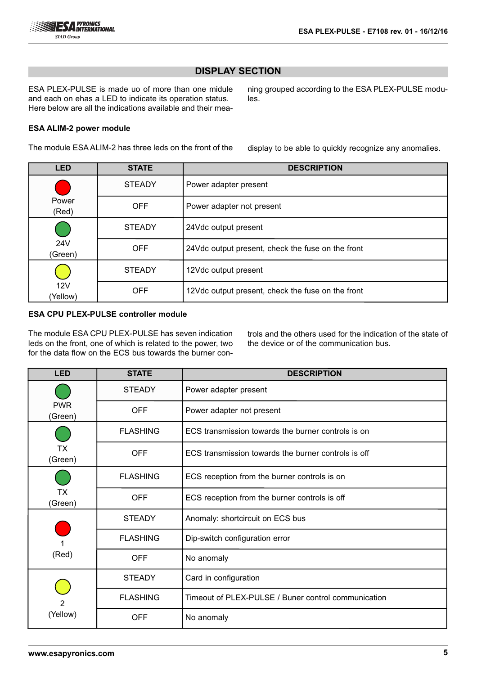ESA PLEX-PULSE is made uo of more than one midule and each on ehas a LED to indicate its operation status. Here below are all the indications available and their mea-

#### **ESA ALIM-2 power module**

The module ESA ALIM-2 has three leds on the front of the

ning grouped according to the ESA PLEX-PULSE modules.

display to be able to quickly recognize any anomalies.

| <b>LED</b>      | <b>STATE</b>  | <b>DESCRIPTION</b>                                |
|-----------------|---------------|---------------------------------------------------|
|                 | <b>STEADY</b> | Power adapter present                             |
| Power<br>(Red)  | <b>OFF</b>    | Power adapter not present                         |
|                 | <b>STEADY</b> | 24Vdc output present                              |
| 24V<br>(Green)  | <b>OFF</b>    | 24Vdc output present, check the fuse on the front |
|                 | <b>STEADY</b> | 12Vdc output present                              |
| 12V<br>(Yellow) | <b>OFF</b>    | 12Vdc output present, check the fuse on the front |

## **ESA CPU PLEX-PULSE controller module**

The module ESA CPU PLEX-PULSE has seven indication leds on the front, one of which is related to the power, two for the data flow on the ECS bus towards the burner controls and the others used for the indication of the state of the device or of the communication bus.

| <b>LED</b>                 | <b>STATE</b>    | <b>DESCRIPTION</b>                                  |
|----------------------------|-----------------|-----------------------------------------------------|
|                            | <b>STEADY</b>   | Power adapter present                               |
| <b>PWR</b><br>(Green)      | <b>OFF</b>      | Power adapter not present                           |
|                            | <b>FLASHING</b> | ECS transmission towards the burner controls is on  |
| <b>TX</b><br>(Green)       | <b>OFF</b>      | ECS transmission towards the burner controls is off |
|                            | <b>FLASHING</b> | ECS reception from the burner controls is on        |
| TX<br>(Green)              | <b>OFF</b>      | ECS reception from the burner controls is off       |
|                            | <b>STEADY</b>   | Anomaly: shortcircuit on ECS bus                    |
|                            | <b>FLASHING</b> | Dip-switch configuration error                      |
| (Red)                      | <b>OFF</b>      | No anomaly                                          |
| $\overline{2}$<br>(Yellow) | <b>STEADY</b>   | Card in configuration                               |
|                            | <b>FLASHING</b> | Timeout of PLEX-PULSE / Buner control communication |
|                            | <b>OFF</b>      | No anomaly                                          |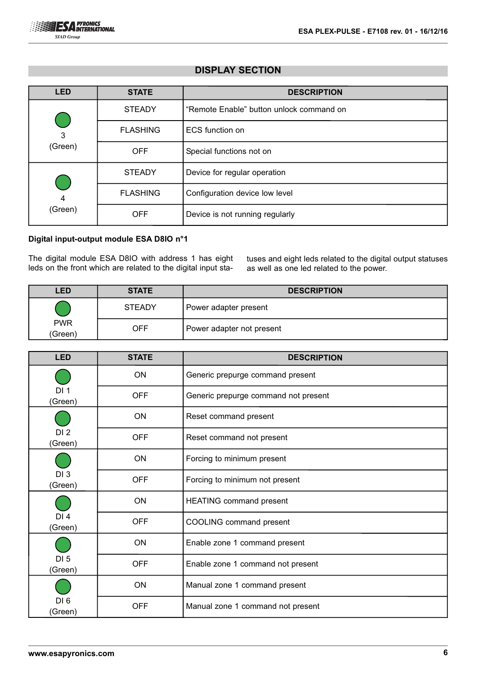| <b>LED</b>                             | <b>STATE</b>    | <b>DESCRIPTION</b>                       |
|----------------------------------------|-----------------|------------------------------------------|
|                                        | <b>STEADY</b>   | "Remote Enable" button unlock command on |
| 3                                      | <b>FLASHING</b> | ECS function on                          |
| (Green)                                | <b>OFF</b>      | Special functions not on                 |
| <b>Service Service</b><br>4<br>(Green) | <b>STEADY</b>   | Device for regular operation             |
|                                        | <b>FLASHING</b> | Configuration device low level           |
|                                        | <b>OFF</b>      | Device is not running regularly          |

### **Digital input-output module ESA D8IO n°1**

The digital module ESA D8IO with address 1 has eight leds on the front which are related to the digital input statuses and eight leds related to the digital output statuses as well as one led related to the power.

| <b>LED</b>            | <b>STATE</b>  | <b>DESCRIPTION</b>        |
|-----------------------|---------------|---------------------------|
|                       | <b>STEADY</b> | Power adapter present     |
| <b>PWR</b><br>(Green) | OFF           | Power adapter not present |

| <b>LED</b>                 | <b>STATE</b> | <b>DESCRIPTION</b>                   |
|----------------------------|--------------|--------------------------------------|
|                            | <b>ON</b>    | Generic prepurge command present     |
| DI <sub>1</sub><br>(Green) | <b>OFF</b>   | Generic prepurge command not present |
|                            | ON           | Reset command present                |
| DI2<br>(Green)             | <b>OFF</b>   | Reset command not present            |
|                            | <b>ON</b>    | Forcing to minimum present           |
| DI <sub>3</sub><br>(Green) | <b>OFF</b>   | Forcing to minimum not present       |
|                            | <b>ON</b>    | <b>HEATING command present</b>       |
| DI4<br>(Green)             | <b>OFF</b>   | COOLING command present              |
|                            | ON           | Enable zone 1 command present        |
| DI <sub>5</sub><br>(Green) | <b>OFF</b>   | Enable zone 1 command not present    |
|                            | ON           | Manual zone 1 command present        |
| DI6<br>(Green)             | <b>OFF</b>   | Manual zone 1 command not present    |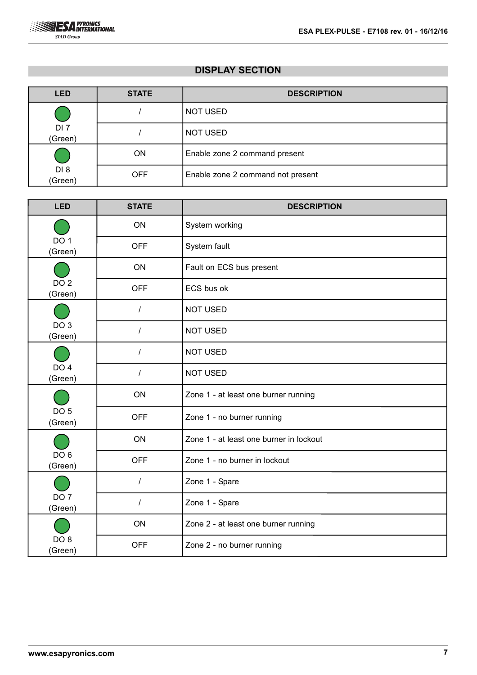| <b>LED</b>                 | <b>STATE</b> | <b>DESCRIPTION</b>                |
|----------------------------|--------------|-----------------------------------|
|                            |              | <b>NOT USED</b>                   |
| DI <sub>7</sub><br>(Green) |              | <b>NOT USED</b>                   |
|                            | <b>ON</b>    | Enable zone 2 command present     |
| DI <sub>8</sub><br>(Green) | <b>OFF</b>   | Enable zone 2 command not present |

| <b>LED</b>                 | <b>STATE</b> | <b>DESCRIPTION</b>                      |
|----------------------------|--------------|-----------------------------------------|
|                            | ON           | System working                          |
| DO <sub>1</sub><br>(Green) | <b>OFF</b>   | System fault                            |
|                            | ON           | Fault on ECS bus present                |
| DO <sub>2</sub><br>(Green) | <b>OFF</b>   | ECS bus ok                              |
|                            | $\prime$     | <b>NOT USED</b>                         |
| DO <sub>3</sub><br>(Green) | T            | <b>NOT USED</b>                         |
|                            | T            | <b>NOT USED</b>                         |
| DO <sub>4</sub><br>(Green) | $\prime$     | <b>NOT USED</b>                         |
|                            | ON           | Zone 1 - at least one burner running    |
| DO <sub>5</sub><br>(Green) | <b>OFF</b>   | Zone 1 - no burner running              |
|                            | ON           | Zone 1 - at least one burner in lockout |
| DO <sub>6</sub><br>(Green) | <b>OFF</b>   | Zone 1 - no burner in lockout           |
|                            | $\prime$     | Zone 1 - Spare                          |
| DO <sub>7</sub><br>(Green) | T            | Zone 1 - Spare                          |
|                            | ON           | Zone 2 - at least one burner running    |
| DO <sub>8</sub><br>(Green) | <b>OFF</b>   | Zone 2 - no burner running              |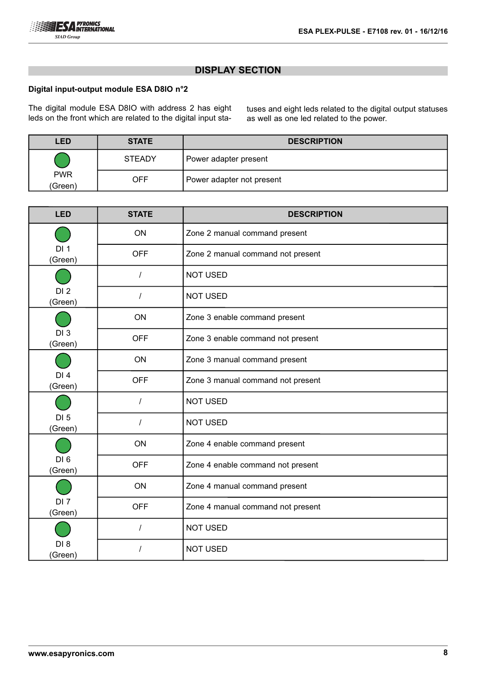#### **Digital input-output module ESA D8IO n°2**

The digital module ESA D8IO with address 2 has eight leds on the front which are related to the digital input statuses and eight leds related to the digital output statuses as well as one led related to the power.

| <b>LED</b>            | <b>STATE</b>  | <b>DESCRIPTION</b>        |
|-----------------------|---------------|---------------------------|
|                       | <b>STEADY</b> | Power adapter present     |
| <b>PWR</b><br>(Green) | <b>OFF</b>    | Power adapter not present |

| <b>LED</b>                 | <b>STATE</b> | <b>DESCRIPTION</b>                |
|----------------------------|--------------|-----------------------------------|
|                            | ON           | Zone 2 manual command present     |
| DI <sub>1</sub><br>(Green) | <b>OFF</b>   | Zone 2 manual command not present |
|                            | $\prime$     | <b>NOT USED</b>                   |
| DI <sub>2</sub><br>(Green) | $\prime$     | <b>NOT USED</b>                   |
|                            | ON           | Zone 3 enable command present     |
| DI <sub>3</sub><br>(Green) | <b>OFF</b>   | Zone 3 enable command not present |
|                            | ON           | Zone 3 manual command present     |
| DI <sub>4</sub><br>(Green) | <b>OFF</b>   | Zone 3 manual command not present |
|                            |              | <b>NOT USED</b>                   |
| DI <sub>5</sub><br>(Green) |              | <b>NOT USED</b>                   |
|                            | ON           | Zone 4 enable command present     |
| DI6<br>(Green)             | <b>OFF</b>   | Zone 4 enable command not present |
|                            | <b>ON</b>    | Zone 4 manual command present     |
| DI <sub>7</sub><br>(Green) | <b>OFF</b>   | Zone 4 manual command not present |
|                            | $\prime$     | <b>NOT USED</b>                   |
| DI <sub>8</sub><br>(Green) | $\prime$     | <b>NOT USED</b>                   |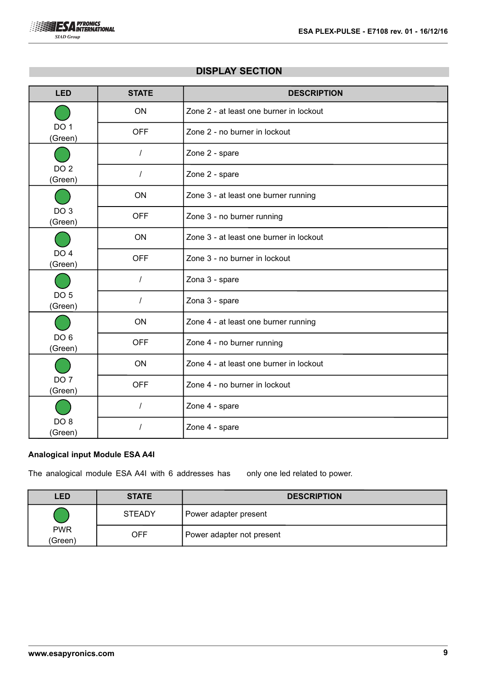

| <b>LED</b>                 | <b>STATE</b> | <b>DESCRIPTION</b>                      |
|----------------------------|--------------|-----------------------------------------|
|                            | ON           | Zone 2 - at least one burner in lockout |
| DO <sub>1</sub><br>(Green) | <b>OFF</b>   | Zone 2 - no burner in lockout           |
|                            | $\prime$     | Zone 2 - spare                          |
| DO <sub>2</sub><br>(Green) | $\prime$     | Zone 2 - spare                          |
|                            | ON           | Zone 3 - at least one burner running    |
| DO <sub>3</sub><br>(Green) | <b>OFF</b>   | Zone 3 - no burner running              |
|                            | ON           | Zone 3 - at least one burner in lockout |
| DO <sub>4</sub><br>(Green) | <b>OFF</b>   | Zone 3 - no burner in lockout           |
|                            | I            | Zona 3 - spare                          |
| DO <sub>5</sub><br>(Green) |              | Zona 3 - spare                          |
|                            | ON           | Zone 4 - at least one burner running    |
| DO <sub>6</sub><br>(Green) | <b>OFF</b>   | Zone 4 - no burner running              |
|                            | ON           | Zone 4 - at least one burner in lockout |
| DO <sub>7</sub><br>(Green) | <b>OFF</b>   | Zone 4 - no burner in lockout           |
|                            | $\prime$     | Zone 4 - spare                          |
| DO <sub>8</sub><br>(Green) |              | Zone 4 - spare                          |

## **Analogical input Module ESA A4I**

The analogical module ESA A4I with 6 addresses has only one led related to power.

| <b>LED</b>            | <b>STATE</b>  | <b>DESCRIPTION</b>        |
|-----------------------|---------------|---------------------------|
| <b>PWR</b><br>(Green) | <b>STEADY</b> | Power adapter present     |
|                       | <b>OFF</b>    | Power adapter not present |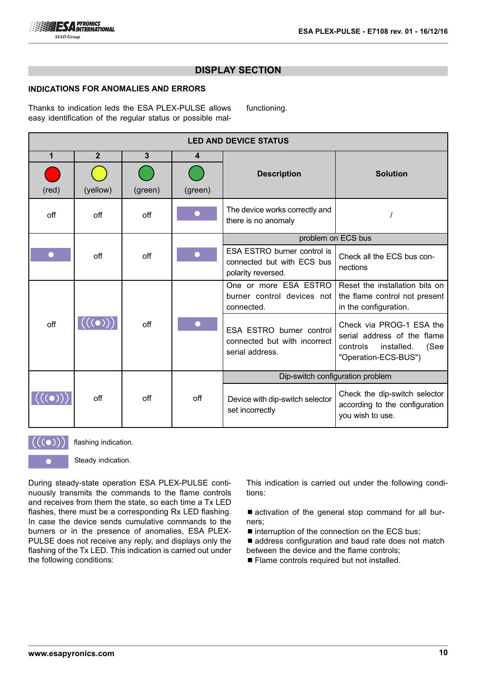

functioning.

#### **INDICATIONS FOR ANOMALIES AND ERRORS**

Thanks to indication leds the ESA PLEX-PULSE allows easy identification of the regular status or possible mal-

**LED AND DEVICE STATUS 1 2 3 4 Description Solution**  $(\text{red})$   $(\text{yellow})$   $(\text{green})$   $(\text{green})$ off off off off off off off off  $\int$  The device works correctly and there is no anomaly filter is no anomaly filter  $\frac{1}{2}$  / problem on ECS bus ESA ESTRO burner control is Check all the ECS bus conoff off connected but with ECS bus nections polarity reversed. One or more ESA ESTRO Reset the installation bits on burner control devices not the flame control not present connected. in the configuration. off  $\|((\circ))\|$  off Check via PROG-1 ESA the ESA ESTRO burner control serial address of the flame connected but with incorrect controls installed. (See serial address. "Operation-ECS-BUS") Dip-switch configuration problem Check the dip-switch selector  $\bigl(\bigl((\bullet)\bigr)\bigr)$ Device with dip-switch selector off off off according to the configuration set incorrectly you wish to use.



flashing indication.

Steady indication.

During steady-state operation ESA PLEX-PULSE continuously transmits the commands to the flame controls and receives from them the state, so each time a Tx LED flashes, there must be a corresponding Rx LED flashing. In case the device sends cumulative commands to the burners or in the presence of anomalies, ESA PLEX-PULSE does not receive any reply, and displays only the flashing of the Tx LED. This indication is carried out under the following conditions:

This indication is carried out under the following conditions:

■ activation of the general stop command for all burners;

- $\blacksquare$  interruption of the connection on the ECS bus;
- address configuration and baud rate does not match between the device and the flame controls;
- Flame controls required but not installed.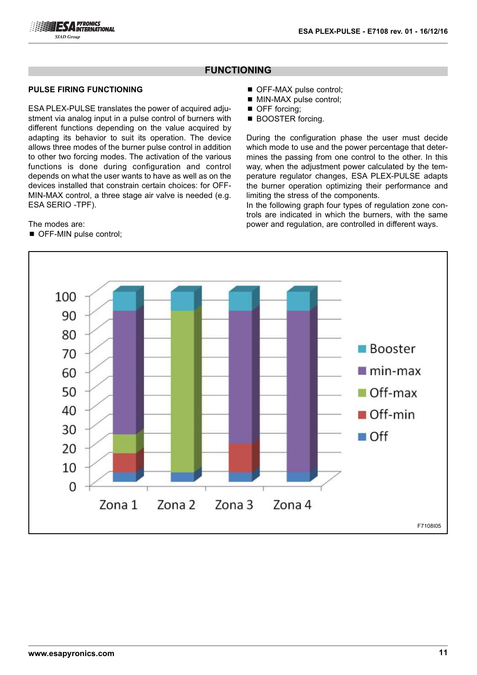

#### **PULSE FIRING FUNCTIONING**

ESA PLEX-PULSE translates the power of acquired adjustment via analog input in a pulse control of burners with different functions depending on the value acquired by adapting its behavior to suit its operation. The device allows three modes of the burner pulse control in addition to other two forcing modes. The activation of the various functions is done during configuration and control depends on what the user wants to have as well as on the devices installed that constrain certain choices: for OFF-MIN-MAX control, a three stage air valve is needed (e.g. ESA SERIO -TPF).

The modes are:

■ OFF-MIN pulse control:

- OFF-MAX pulse control;
- MIN-MAX pulse control;
- OFF forcing;
- BOOSTER forcing.

During the configuration phase the user must decide which mode to use and the power percentage that determines the passing from one control to the other. In this way, when the adjustment power calculated by the temperature regulator changes, ESA PLEX-PULSE adapts the burner operation optimizing their performance and limiting the stress of the components.

In the following graph four types of regulation zone controls are indicated in which the burners, with the same power and regulation, are controlled in different ways.

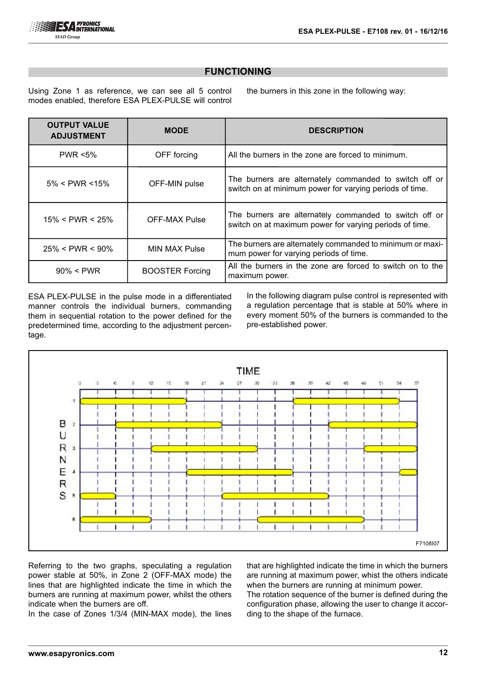Using Zone 1 as reference, we can see all 5 control modes enabled, therefore ESA PLEX-PULSE will control

the burners in this zone in the following way:

| <b>OUTPUT VALUE</b><br><b>ADJUSTMENT</b> | <b>MODE</b>            | <b>DESCRIPTION</b>                                                                                                |
|------------------------------------------|------------------------|-------------------------------------------------------------------------------------------------------------------|
| <b>PWR &lt;5%</b>                        | OFF forcing            | All the burners in the zone are forced to minimum.                                                                |
| $5\% <$ PWR <15%                         | OFF-MIN pulse          | The burners are alternately commanded to switch off or<br>switch on at minimum power for varying periods of time. |
| $15\% <$ PWR < 25%                       | <b>OFF-MAX Pulse</b>   | The burners are alternately commanded to switch off or<br>switch on at maximum power for varying periods of time. |
| $25\% < PWR < 90\%$                      | <b>MIN MAX Pulse</b>   | The burners are alternately commanded to minimum or maxi-<br>mum power for varying periods of time.               |
| $90\% < PWR$                             | <b>BOOSTER Forcing</b> | All the burners in the zone are forced to switch on to the<br>maximum power.                                      |

ESA PLEX-PULSE in the pulse mode in a differentiated manner controls the individual burners, commanding them in sequential rotation to the power defined for the predetermined time, according to the adjustment percentage.

In the following diagram pulse control is represented with a regulation percentage that is stable at 50% where in every moment 50% of the burners is commanded to the pre-established power.



Referring to the two graphs, speculating a regulation power stable at 50%, in Zone 2 (OFF-MAX mode) the lines that are highlighted indicate the time in which the burners are running at maximum power, whilst the others indicate when the burners are off.

In the case of Zones 1/3/4 (MIN-MAX mode), the lines

that are highlighted indicate the time in which the burners are running at maximum power, whist the others indicate when the burners are running at minimum power.

The rotation sequence of the burner is defined during the configuration phase, allowing the user to change it according to the shape of the furnace.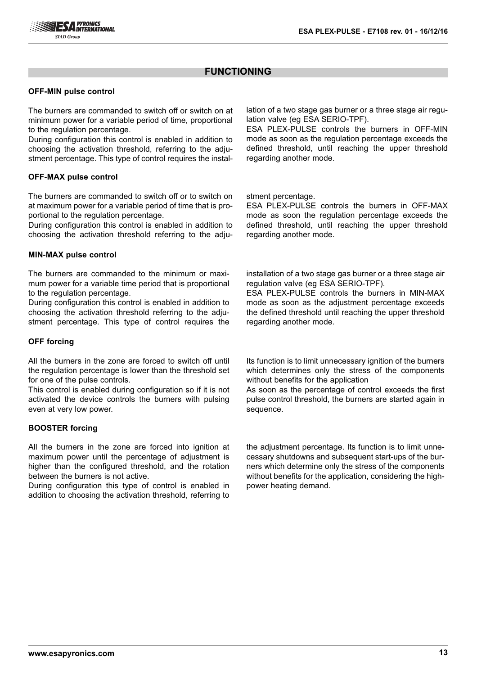#### **OFF-MIN pulse control**

The burners are commanded to switch off or switch on at minimum power for a variable period of time, proportional to the regulation percentage.

During configuration this control is enabled in addition to choosing the activation threshold, referring to the adjustment percentage. This type of control requires the instal-

#### **OFF-MAX pulse control**

The burners are commanded to switch off or to switch on at maximum power for a variable period of time that is proportional to the regulation percentage.

During configuration this control is enabled in addition to choosing the activation threshold referring to the adju-

#### **MIN-MAX pulse control**

The burners are commanded to the minimum or maximum power for a variable time period that is proportional to the regulation percentage.

During configuration this control is enabled in addition to choosing the activation threshold referring to the adjustment percentage. This type of control requires the

#### **OFF forcing**

All the burners in the zone are forced to switch off until the regulation percentage is lower than the threshold set for one of the pulse controls.

This control is enabled during configuration so if it is not activated the device controls the burners with pulsing even at very low power.

#### **BOOSTER forcing**

All the burners in the zone are forced into ignition at maximum power until the percentage of adjustment is higher than the configured threshold, and the rotation between the burners is not active.

During configuration this type of control is enabled in addition to choosing the activation threshold, referring to lation of a two stage gas burner or a three stage air regulation valve (eg ESA SERIO-TPF).

ESA PLEX-PULSE controls the burners in OFF-MIN mode as soon as the regulation percentage exceeds the defined threshold, until reaching the upper threshold regarding another mode.

stment percentage.

ESA PLEX-PULSE controls the burners in OFF-MAX mode as soon the regulation percentage exceeds the defined threshold, until reaching the upper threshold regarding another mode.

installation of a two stage gas burner or a three stage air regulation valve (eg ESA SERIO-TPF).

ESA PLEX-PULSE controls the burners in MIN-MAX mode as soon as the adjustment percentage exceeds the defined threshold until reaching the upper threshold regarding another mode.

Its function is to limit unnecessary ignition of the burners which determines only the stress of the components without benefits for the application

As soon as the percentage of control exceeds the first pulse control threshold, the burners are started again in sequence.

the adjustment percentage. Its function is to limit unnecessary shutdowns and subsequent start-ups of the burners which determine only the stress of the components without benefits for the application, considering the highpower heating demand.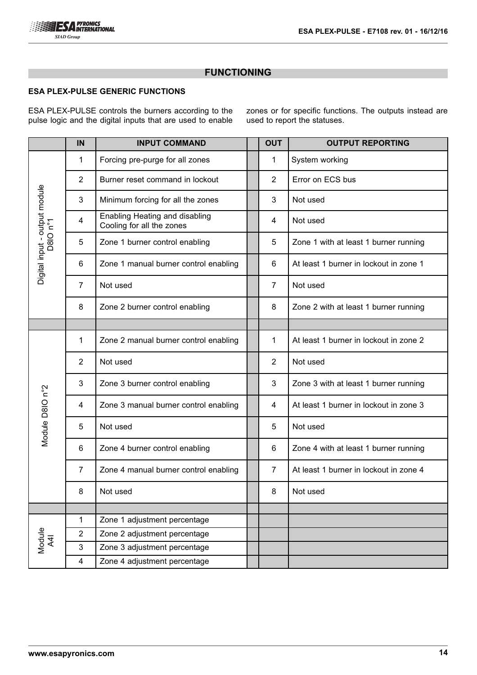

## **ESA PLEX-PULSE GENERIC FUNCTIONS**

ESA PLEX-PULSE controls the burners according to the pulse logic and the digital inputs that are used to enable zones or for specific functions. The outputs instead are used to report the statuses.

|                               | IN             | <b>INPUT COMMAND</b>                                        | <b>OUT</b>     | <b>OUTPUT REPORTING</b>                |
|-------------------------------|----------------|-------------------------------------------------------------|----------------|----------------------------------------|
|                               | 1              | Forcing pre-purge for all zones                             | 1              | System working                         |
|                               | $\overline{2}$ | Burner reset command in lockout                             | $\overline{2}$ | Error on ECS bus                       |
|                               | 3              | Minimum forcing for all the zones                           | 3              | Not used                               |
| Digital input - output module | 4              | Enabling Heating and disabling<br>Cooling for all the zones | 4              | Not used                               |
| D8IO n°1                      | 5              | Zone 1 burner control enabling                              | 5              | Zone 1 with at least 1 burner running  |
|                               | 6              | Zone 1 manual burner control enabling                       | 6              | At least 1 burner in lockout in zone 1 |
|                               | $\overline{7}$ | Not used                                                    | $\overline{7}$ | Not used                               |
|                               | 8              | Zone 2 burner control enabling                              | 8              | Zone 2 with at least 1 burner running  |
|                               |                |                                                             |                |                                        |
|                               | 1              | Zone 2 manual burner control enabling                       | 1              | At least 1 burner in lockout in zone 2 |
|                               | $\overline{2}$ | Not used                                                    | 2              | Not used                               |
|                               | 3              | Zone 3 burner control enabling                              | 3              | Zone 3 with at least 1 burner running  |
|                               | 4              | Zone 3 manual burner control enabling                       | 4              | At least 1 burner in lockout in zone 3 |
| Module D8IO n°2               | 5              | Not used                                                    | 5              | Not used                               |
|                               | 6              | Zone 4 burner control enabling                              | 6              | Zone 4 with at least 1 burner running  |
|                               | 7              | Zone 4 manual burner control enabling                       | 7              | At least 1 burner in lockout in zone 4 |
|                               | 8              | Not used                                                    | 8              | Not used                               |
|                               |                |                                                             |                |                                        |
|                               | $\mathbf{1}$   | Zone 1 adjustment percentage                                |                |                                        |
|                               | $\overline{2}$ | Zone 2 adjustment percentage                                |                |                                        |
| Module<br>A4I                 | 3              | Zone 3 adjustment percentage                                |                |                                        |
|                               | $\overline{4}$ | Zone 4 adjustment percentage                                |                |                                        |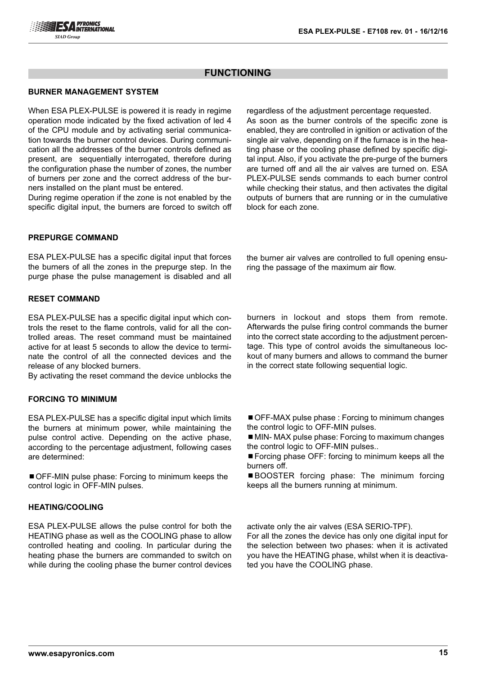regardless of the adjustment percentage requested. As soon as the burner controls of the specific zone is enabled, they are controlled in ignition or activation of the single air valve, depending on if the furnace is in the heating phase or the cooling phase defined by specific digital input. Also, if you activate the pre-purge of the burners are turned off and all the air valves are turned on. ESA PLEX-PULSE sends commands to each burner control while checking their status, and then activates the digital outputs of burners that are running or in the cumulative

## **FUNCTIONING**

block for each zone.

#### **BURNER MANAGEMENT SYSTEM**

When ESA PLEX-PULSE is powered it is ready in regime operation mode indicated by the fixed activation of led 4 of the CPU module and by activating serial communication towards the burner control devices. During communication all the addresses of the burner controls defined as present, are sequentially interrogated, therefore during the configuration phase the number of zones, the number of burners per zone and the correct address of the burners installed on the plant must be entered.

During regime operation if the zone is not enabled by the specific digital input, the burners are forced to switch off

#### **PREPURGE COMMAND**

ESA PLEX-PULSE has a specific digital input that forces the burners of all the zones in the prepurge step. In the purge phase the pulse management is disabled and all

#### **RESET COMMAND**

ESA PLEX-PULSE has a specific digital input which controls the reset to the flame controls, valid for all the controlled areas. The reset command must be maintained active for at least 5 seconds to allow the device to terminate the control of all the connected devices and the release of any blocked burners.

By activating the reset command the device unblocks the

## **FORCING TO MINIMUM**

ESA PLEX-PULSE has a specific digital input which limits the burners at minimum power, while maintaining the pulse control active. Depending on the active phase, according to the percentage adjustment, following cases are determined:

■ OFF-MIN pulse phase: Forcing to minimum keeps the control logic in OFF-MIN pulses.

#### **HEATING/COOLING**

ESA PLEX-PULSE allows the pulse control for both the HEATING phase as well as the COOLING phase to allow controlled heating and cooling. In particular during the heating phase the burners are commanded to switch on while during the cooling phase the burner control devices burners in lockout and stops them from remote. Afterwards the pulse firing control commands the burner into the correct state according to the adjustment percentage. This type of control avoids the simultaneous lockout of many burners and allows to command the burner in the correct state following sequential logic.

the burner air valves are controlled to full opening ensu-

ring the passage of the maximum air flow.

■ OFF-MAX pulse phase : Forcing to minimum changes the control logic to OFF-MIN pulses.

■ MIN- MAX pulse phase: Forcing to maximum changes the control logic to OFF-MIN pulses..

■ Forcing phase OFF: forcing to minimum keeps all the burners off.

■BOOSTER forcing phase: The minimum forcing keeps all the burners running at minimum.

activate only the air valves (ESA SERIO-TPF).

For all the zones the device has only one digital input for the selection between two phases: when it is activated you have the HEATING phase, whilst when it is deactivated you have the COOLING phase.

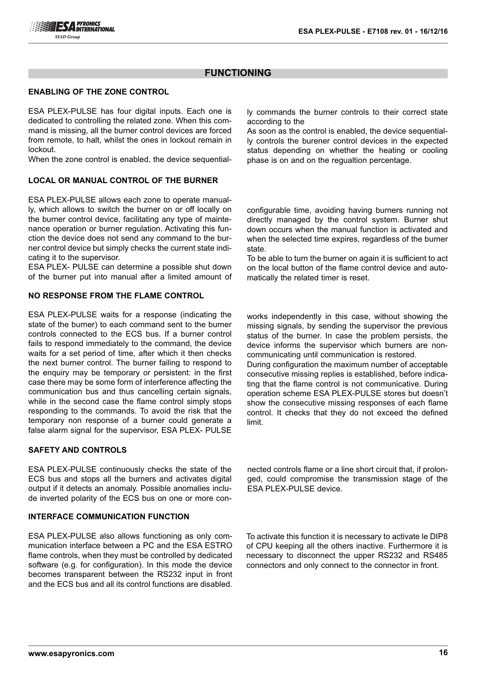#### **ENABLING OF THE ZONE CONTROL**

ESA PLEX-PULSE has four digital inputs. Each one is dedicated to controlling the related zone. When this command is missing, all the burner control devices are forced from remote, to halt, whilst the ones in lockout remain in lockout.

When the zone control is enabled, the device sequential-

### **LOCAL OR MANUAL CONTROL OF THE BURNER**

ESA PLEX-PULSE allows each zone to operate manually, which allows to switch the burner on or off locally on the burner control device, facilitating any type of maintenance operation or burner regulation. Activating this function the device does not send any command to the burner control device but simply checks the current state indicating it to the supervisor.

ESA PLEX- PULSE can determine a possible shut down of the burner put into manual after a limited amount of

#### **NO RESPONSE FROM THE FLAME CONTROL**

ESA PLEX-PULSE waits for a response (indicating the state of the burner) to each command sent to the burner controls connected to the ECS bus. If a burner control fails to respond immediately to the command, the device waits for a set period of time, after which it then checks the next burner control. The burner failing to respond to the enquiry may be temporary or persistent: in the first case there may be some form of interference affecting the communication bus and thus cancelling certain signals, while in the second case the flame control simply stops responding to the commands. To avoid the risk that the temporary non response of a burner could generate a false alarm signal for the supervisor, ESA PLEX- PULSE

### **SAFETY AND CONTROLS**

ESA PLEX-PULSE continuously checks the state of the ECS bus and stops all the burners and activates digital output if it detects an anomaly. Possible anomalies include inverted polarity of the ECS bus on one or more con-

#### **INTERFACE COMMUNICATION FUNCTION**

ESA PLEX-PULSE also allows functioning as only communication interface between a PC and the ESA ESTRO flame controls, when they must be controlled by dedicated software (e.g. for configuration). In this mode the device becomes transparent between the RS232 input in front and the ECS bus and all its control functions are disabled.

ly commands the burner controls to their correct state according to the

As soon as the control is enabled, the device sequentially controls the burener control devices in the expected status depending on whether the heating or cooling phase is on and on the regualtion percentage.

configurable time, avoiding having burners running not directly managed by the control system. Burner shut down occurs when the manual function is activated and when the selected time expires, regardless of the burner state.

To be able to turn the burner on again it is sufficient to act on the local button of the flame control device and automatically the related timer is reset.

works independently in this case, without showing the missing signals, by sending the supervisor the previous status of the burner. In case the problem persists, the device informs the supervisor which burners are noncommunicating until communication is restored.

During configuration the maximum number of acceptable consecutive missing replies is established, before indicating that the flame control is not communicative. During operation scheme ESA PLEX-PULSE stores but doesn't show the consecutive missing responses of each flame control. It checks that they do not exceed the defined limit.

nected controls flame or a line short circuit that, if prolonged, could compromise the transmission stage of the ESA PLEX-PULSE device.

To activate this function it is necessary to activate le DIP8 of CPU keeping all the others inactive. Furthermore it is necessary to disconnect the upper RS232 and RS485 connectors and only connect to the connector in front.

**www.esapyronics.com 16**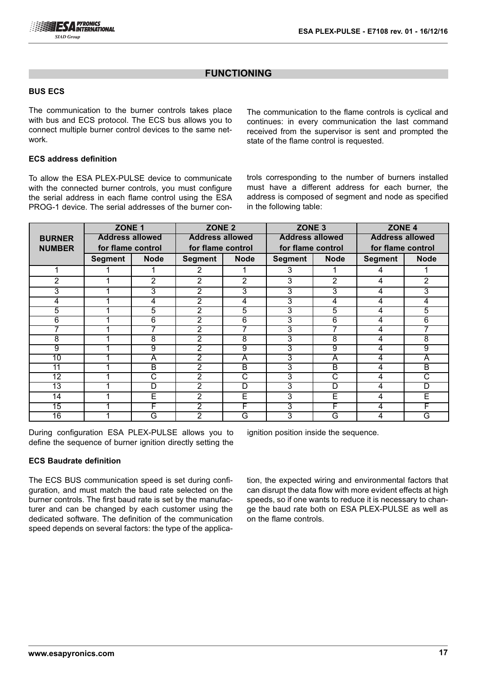#### **BUS ECS**

The communication to the burner controls takes place with bus and ECS protocol. The ECS bus allows you to connect multiple burner control devices to the same network.

#### **ECS address definition**

To allow the ESA PLEX-PULSE device to communicate with the connected burner controls, you must configure the serial address in each flame control using the ESA PROG-1 device. The serial addresses of the burner conThe communication to the flame controls is cyclical and continues: in every communication the last command received from the supervisor is sent and prompted the state of the flame control is requested.

trols corresponding to the number of burners installed must have a different address for each burner, the address is composed of segment and node as specified in the following table:

|                 | ZONE <sub>1</sub>      |                         | ZONE <sub>2</sub>      |                         | ZONE <sub>3</sub>      |                         | ZONE <sub>4</sub>      |             |
|-----------------|------------------------|-------------------------|------------------------|-------------------------|------------------------|-------------------------|------------------------|-------------|
| <b>BURNER</b>   | <b>Address allowed</b> |                         | <b>Address allowed</b> |                         | <b>Address allowed</b> |                         | <b>Address allowed</b> |             |
| <b>NUMBER</b>   | for flame control      |                         | for flame control      |                         | for flame control      |                         | for flame control      |             |
|                 | <b>Segment</b>         | <b>Node</b>             | <b>Segment</b>         | <b>Node</b>             | <b>Segment</b>         | <b>Node</b>             | <b>Segment</b>         | <b>Node</b> |
|                 |                        |                         | 2                      |                         | 3                      |                         | 4                      |             |
| 2               |                        | 2                       | 2                      | 2                       | 3                      | 2                       | 4                      | 2           |
| 3               |                        | 3                       | $\overline{2}$         | 3                       | 3                      | 3                       | 4                      | 3           |
| 4               |                        | 4                       | $\overline{2}$         | 4                       | 3                      | 4                       | 4                      | 4           |
| $\overline{5}$  |                        | 5                       | $\overline{2}$         | 5                       | 3                      | 5                       | 4                      | 5           |
| 6               |                        | 6                       | $\overline{2}$         | 6                       | 3                      | 6                       | 4                      | 6           |
|                 |                        | 7                       | $\overline{2}$         | 7                       | 3                      | 7                       | 4                      |             |
| 8               |                        | 8                       | $\overline{2}$         | 8                       | 3                      | 8                       | 4                      | 8           |
| 9               |                        | 9                       | $\overline{2}$         | 9                       | 3                      | 9                       | 4                      | 9           |
| 10              |                        | $\overline{\mathsf{A}}$ | $\overline{2}$         | $\overline{\mathsf{A}}$ | 3                      | $\overline{\mathsf{A}}$ | 4                      | A           |
| 11              |                        | $\overline{\mathsf{B}}$ | 2                      | $\overline{\mathsf{B}}$ | 3                      | $\overline{\mathsf{B}}$ | 4                      | B           |
| 12              |                        | С                       | $\overline{2}$         | $\overline{\text{c}}$   | 3                      | $\overline{\text{c}}$   | 4                      | C           |
| $\overline{13}$ |                        | D                       | $\overline{2}$         | D                       | 3                      | $\overline{D}$          | 4                      | D           |
| 14              |                        | Ē                       | $\overline{2}$         | Ē                       | 3                      | E                       | 4                      | Ē           |
| 15              |                        | F                       | $\overline{2}$         | F                       | 3                      | F                       | 4                      | F           |
| $\overline{16}$ |                        | Ğ                       | $\overline{2}$         | Ğ                       | 3                      | G                       | 4                      | G           |

During configuration ESA PLEX-PULSE allows you to define the sequence of burner ignition directly setting the

#### **ECS Baudrate definition**

The ECS BUS communication speed is set during configuration, and must match the baud rate selected on the burner controls. The first baud rate is set by the manufacturer and can be changed by each customer using the dedicated software. The definition of the communication speed depends on several factors: the type of the applicaignition position inside the sequence.

tion, the expected wiring and environmental factors that can disrupt the data flow with more evident effects at high speeds, so if one wants to reduce it is necessary to change the baud rate both on ESA PLEX-PULSE as well as on the flame controls.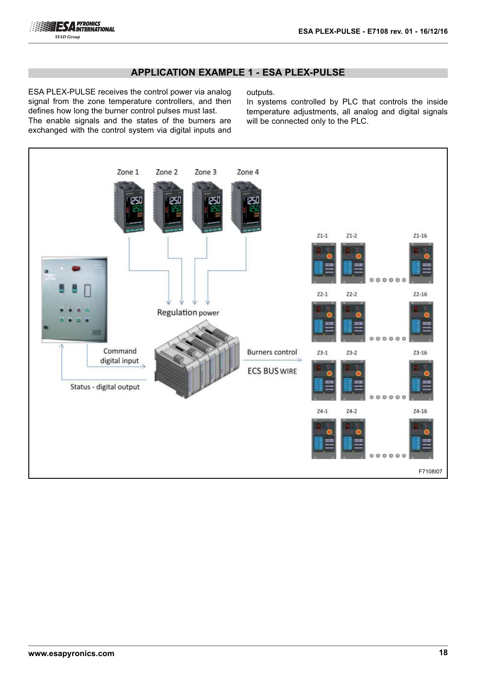

## **APPLICATION EXAMPLE 1 - ESA PLEX-PULSE**

ESA PLEX-PULSE receives the control power via analog signal from the zone temperature controllers, and then defines how long the burner control pulses must last. The enable signals and the states of the burners are exchanged with the control system via digital inputs and

outputs.

In systems controlled by PLC that controls the inside temperature adjustments, all analog and digital signals will be connected only to the PLC.

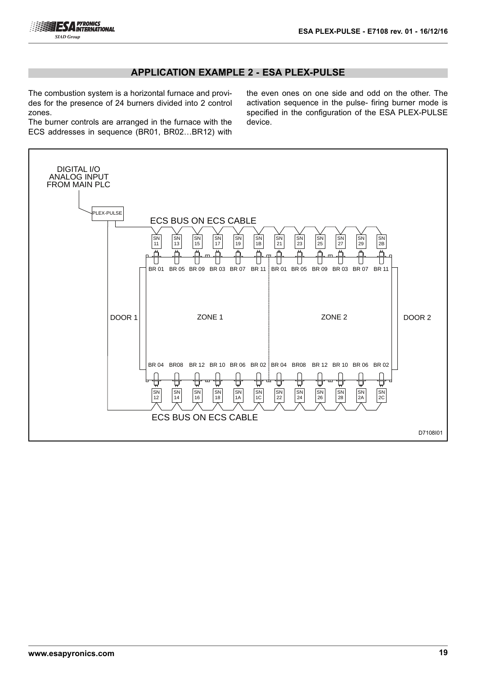

## **APPLICATION EXAMPLE 2 - ESA PLEX-PULSE**

The combustion system is a horizontal furnace and provides for the presence of 24 burners divided into 2 control zones.

The burner controls are arranged in the furnace with the ECS addresses in sequence (BR01, BR02…BR12) with the even ones on one side and odd on the other. The activation sequence in the pulse- firing burner mode is specified in the configuration of the ESA PLEX-PULSE device.

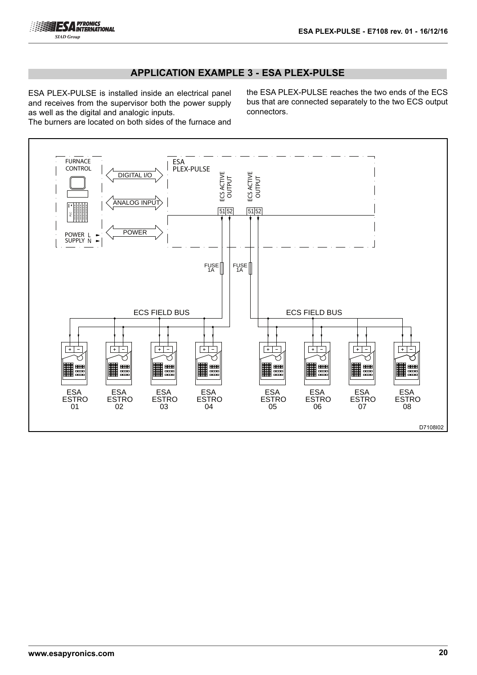## **APPLICATION EXAMPLE 3 - ESA PLEX-PULSE**

ESA PLEX-PULSE is installed inside an electrical panel and receives from the supervisor both the power supply as well as the digital and analogic inputs.

the ESA PLEX-PULSE reaches the two ends of the ECS bus that are connected separately to the two ECS output connectors.

The burners are located on both sides of the furnace and

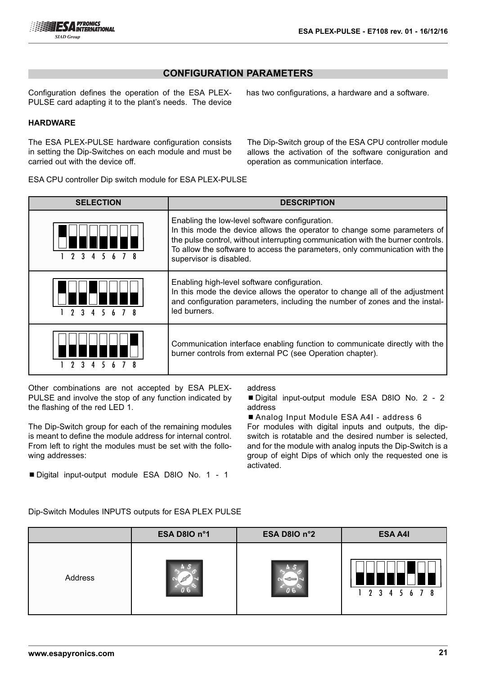## **CONFIGURATION PARAMETERS**

Configuration defines the operation of the ESA PLEX-PULSE card adapting it to the plant's needs. The device

#### **HARDWARE**

The ESA PLEX-PULSE hardware configuration consists in setting the Dip-Switches on each module and must be carried out with the device off.

The Dip-Switch group of the ESA CPU controller module allows the activation of the software coniguration and operation as communication interface.

has two configurations, a hardware and a software.

ESA CPU controller Dip switch module for ESA PLEX-PULSE

| <b>SELECTION</b> | <b>DESCRIPTION</b>                                                                                                                                                                                                                                                                                                      |
|------------------|-------------------------------------------------------------------------------------------------------------------------------------------------------------------------------------------------------------------------------------------------------------------------------------------------------------------------|
|                  | Enabling the low-level software configuration.<br>In this mode the device allows the operator to change some parameters of<br>the pulse control, without interrupting communication with the burner controls.<br>To allow the software to access the parameters, only communication with the<br>supervisor is disabled. |
|                  | Enabling high-level software configuration.<br>In this mode the device allows the operator to change all of the adjustment<br>and configuration parameters, including the number of zones and the instal-<br>led burners.                                                                                               |
|                  | Communication interface enabling function to communicate directly with the<br>burner controls from external PC (see Operation chapter).                                                                                                                                                                                 |

Other combinations are not accepted by ESA PLEX-PULSE and involve the stop of any function indicated by the flashing of the red LED 1.

The Dip-Switch group for each of the remaining modules is meant to define the module address for internal control. From left to right the modules must be set with the following addresses:

■ Digital input-output module ESA D8IO No. 1 - 1

#### address

■ Digital input-output module ESA D8IO No. 2 - 2 address

■ Analog Input Module ESA A4I - address 6

For modules with digital inputs and outputs, the dipswitch is rotatable and the desired number is selected, and for the module with analog inputs the Dip-Switch is a group of eight Dips of which only the requested one is activated.

Dip-Switch Modules INPUTS outputs for ESA PLEX PULSE

|         | ESA D8IO n°1 | ESA D8IO n°2 | <b>ESA A4I</b>            |
|---------|--------------|--------------|---------------------------|
| Address |              |              | Π<br>H<br>1 2 3 4 5 6 7 8 |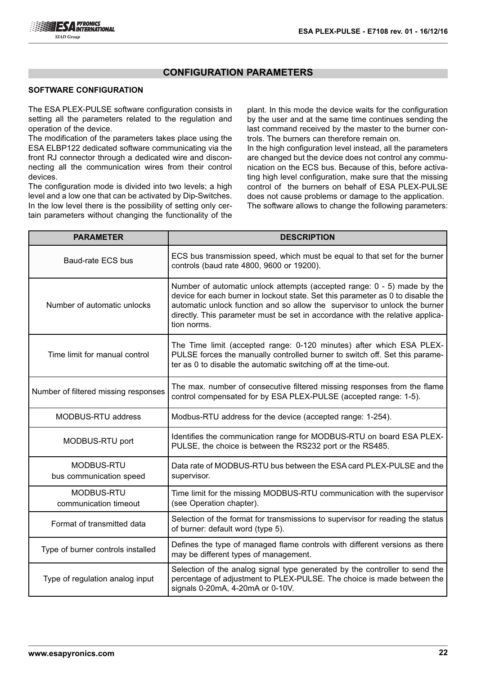## **CONFIGURATION PARAMETERS**

#### **SOFTWARE CONFIGURATION**

The ESA PLEX-PULSE software configuration consists in setting all the parameters related to the regulation and operation of the device.

The modification of the parameters takes place using the ESA ELBP122 dedicated software communicating via the front RJ connector through a dedicated wire and disconnecting all the communication wires from their control devices.

The configuration mode is divided into two levels; a high level and a low one that can be activated by Dip-Switches. In the low level there is the possibility of setting only certain parameters without changing the functionality of the

plant. In this mode the device waits for the configuration by the user and at the same time continues sending the last command received by the master to the burner controls. The burners can therefore remain on.

In the high configuration level instead, all the parameters are changed but the device does not control any communication on the ECS bus. Because of this, before activating high level configuration, make sure that the missing control of the burners on behalf of ESA PLEX-PULSE does not cause problems or damage to the application. The software allows to change the following parameters:

| <b>PARAMETER</b>                      | <b>DESCRIPTION</b>                                                                                                                                                                                                                                                                                                                       |
|---------------------------------------|------------------------------------------------------------------------------------------------------------------------------------------------------------------------------------------------------------------------------------------------------------------------------------------------------------------------------------------|
| Baud-rate ECS bus                     | ECS bus transmission speed, which must be equal to that set for the burner<br>controls (baud rate 4800, 9600 or 19200).                                                                                                                                                                                                                  |
| Number of automatic unlocks           | Number of automatic unlock attempts (accepted range: 0 - 5) made by the<br>device for each burner in lockout state. Set this parameter as 0 to disable the<br>automatic unlock function and so allow the supervisor to unlock the burner<br>directly. This parameter must be set in accordance with the relative applica-<br>tion norms. |
| Time limit for manual control         | The Time limit (accepted range: 0-120 minutes) after which ESA PLEX-<br>PULSE forces the manually controlled burner to switch off. Set this parame-<br>ter as 0 to disable the automatic switching off at the time-out.                                                                                                                  |
| Number of filtered missing responses  | The max. number of consecutive filtered missing responses from the flame<br>control compensated for by ESA PLEX-PULSE (accepted range: 1-5).                                                                                                                                                                                             |
| MODBUS-RTU address                    | Modbus-RTU address for the device (accepted range: 1-254).                                                                                                                                                                                                                                                                               |
| MODBUS-RTU port                       | Identifies the communication range for MODBUS-RTU on board ESA PLEX-<br>PULSE, the choice is between the RS232 port or the RS485.                                                                                                                                                                                                        |
| MODBUS-RTU<br>bus communication speed | Data rate of MODBUS-RTU bus between the ESA card PLEX-PULSE and the<br>supervisor.                                                                                                                                                                                                                                                       |
| MODBUS-RTU<br>communication timeout   | Time limit for the missing MODBUS-RTU communication with the supervisor<br>(see Operation chapter).                                                                                                                                                                                                                                      |
| Format of transmitted data            | Selection of the format for transmissions to supervisor for reading the status<br>of burner: default word (type 5).                                                                                                                                                                                                                      |
| Type of burner controls installed     | Defines the type of managed flame controls with different versions as there<br>may be different types of management.                                                                                                                                                                                                                     |
| Type of regulation analog input       | Selection of the analog signal type generated by the controller to send the<br>percentage of adjustment to PLEX-PULSE. The choice is made between the<br>signals 0-20mA, 4-20mA or 0-10V.                                                                                                                                                |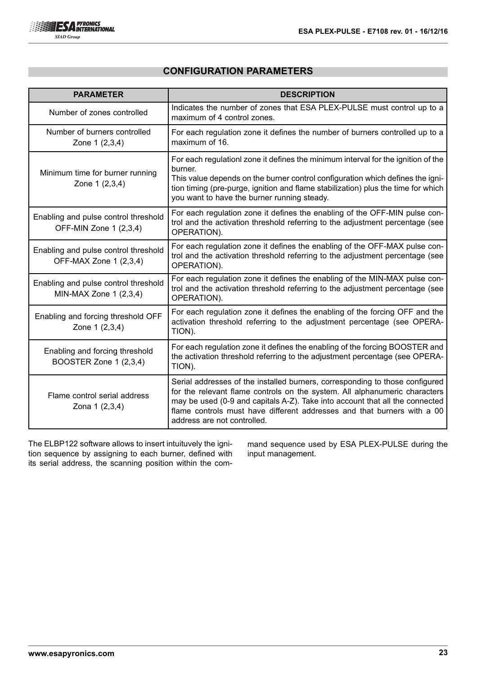## **CONFIGURATION PARAMETERS**

| <b>PARAMETER</b>                                                 | <b>DESCRIPTION</b>                                                                                                                                                                                                                                                                                                                                   |
|------------------------------------------------------------------|------------------------------------------------------------------------------------------------------------------------------------------------------------------------------------------------------------------------------------------------------------------------------------------------------------------------------------------------------|
| Number of zones controlled                                       | Indicates the number of zones that ESA PLEX-PULSE must control up to a<br>maximum of 4 control zones.                                                                                                                                                                                                                                                |
| Number of burners controlled<br>Zone 1 (2,3,4)                   | For each regulation zone it defines the number of burners controlled up to a<br>maximum of 16.                                                                                                                                                                                                                                                       |
| Minimum time for burner running<br>Zone 1 (2,3,4)                | For each regulationl zone it defines the minimum interval for the ignition of the<br>burner.<br>This value depends on the burner control configuration which defines the igni-<br>tion timing (pre-purge, ignition and flame stabilization) plus the time for which<br>you want to have the burner running steady.                                   |
| Enabling and pulse control threshold<br>OFF-MIN Zone 1 (2,3,4)   | For each regulation zone it defines the enabling of the OFF-MIN pulse con-<br>trol and the activation threshold referring to the adjustment percentage (see<br>OPERATION).                                                                                                                                                                           |
| Enabling and pulse control threshold<br>OFF-MAX Zone 1 (2,3,4)   | For each regulation zone it defines the enabling of the OFF-MAX pulse con-<br>trol and the activation threshold referring to the adjustment percentage (see<br>OPERATION).                                                                                                                                                                           |
| Enabling and pulse control threshold<br>MIN-MAX Zone $1$ (2,3,4) | For each regulation zone it defines the enabling of the MIN-MAX pulse con-<br>trol and the activation threshold referring to the adjustment percentage (see<br>OPERATION).                                                                                                                                                                           |
| Enabling and forcing threshold OFF<br>Zone 1 (2,3,4)             | For each regulation zone it defines the enabling of the forcing OFF and the<br>activation threshold referring to the adjustment percentage (see OPERA-<br>TION).                                                                                                                                                                                     |
| Enabling and forcing threshold<br>BOOSTER Zone 1 (2,3,4)         | For each regulation zone it defines the enabling of the forcing BOOSTER and<br>the activation threshold referring to the adjustment percentage (see OPERA-<br>TION).                                                                                                                                                                                 |
| Flame control serial address<br>Zona 1 (2,3,4)                   | Serial addresses of the installed burners, corresponding to those configured<br>for the relevant flame controls on the system. All alphanumeric characters<br>may be used (0-9 and capitals A-Z). Take into account that all the connected<br>flame controls must have different addresses and that burners with a 00<br>address are not controlled. |

The ELBP122 software allows to insert intuituvely the ignition sequence by assigning to each burner, defined with its serial address, the scanning position within the command sequence used by ESA PLEX-PULSE during the input management.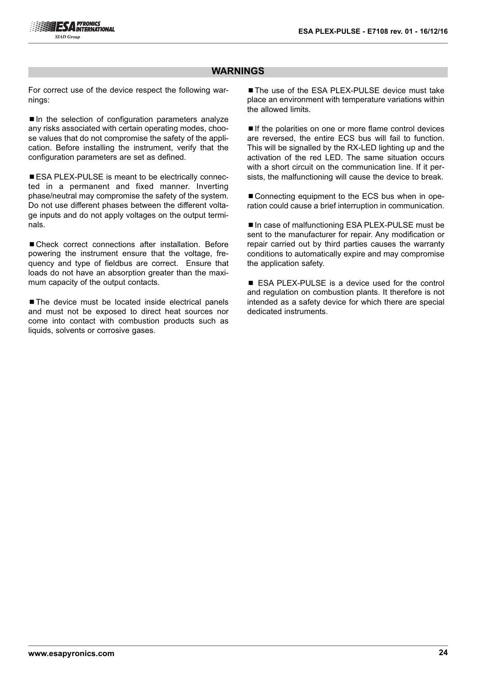## **WARNINGS**

For correct use of the device respect the following warnings:

■In the selection of configuration parameters analyze any risks associated with certain operating modes, choose values that do not compromise the safety of the application. Before installing the instrument, verify that the configuration parameters are set as defined.

■ ESA PLEX-PULSE is meant to be electrically connected in a permanent and fixed manner. Inverting phase/neutral may compromise the safety of the system. Do not use different phases between the different voltage inputs and do not apply voltages on the output terminals.

■ Check correct connections after installation. Before powering the instrument ensure that the voltage, frequency and type of fieldbus are correct. Ensure that loads do not have an absorption greater than the maximum capacity of the output contacts.

■ The device must be located inside electrical panels and must not be exposed to direct heat sources nor come into contact with combustion products such as liquids, solvents or corrosive gases.

■ The use of the ESA PLEX-PULSE device must take place an environment with temperature variations within the allowed limits.

■ If the polarities on one or more flame control devices are reversed, the entire ECS bus will fail to function. This will be signalled by the RX-LED lighting up and the activation of the red LED. The same situation occurs with a short circuit on the communication line. If it persists, the malfunctioning will cause the device to break.

■ Connecting equipment to the ECS bus when in operation could cause a brief interruption in communication.

■ In case of malfunctioning ESA PLEX-PULSE must be sent to the manufacturer for repair. Any modification or repair carried out by third parties causes the warranty conditions to automatically expire and may compromise the application safety.

■ ESA PLEX-PULSE is a device used for the control and regulation on combustion plants. It therefore is not intended as a safety device for which there are special dedicated instruments.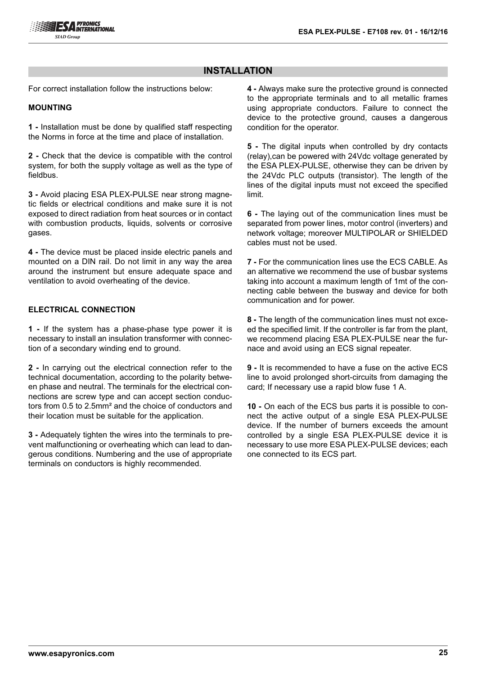## **INSTALLATION**

For correct installation follow the instructions below:

#### **MOUNTING**

**1 -** Installation must be done by qualified staff respecting the Norms in force at the time and place of installation.

**2 -** Check that the device is compatible with the control system, for both the supply voltage as well as the type of fieldbus.

**3 -** Avoid placing ESA PLEX-PULSE near strong magnetic fields or electrical conditions and make sure it is not exposed to direct radiation from heat sources or in contact with combustion products, liquids, solvents or corrosive gases.

**4 -** The device must be placed inside electric panels and mounted on a DIN rail. Do not limit in any way the area around the instrument but ensure adequate space and ventilation to avoid overheating of the device.

### **ELECTRICAL CONNECTION**

**1 -** If the system has a phase-phase type power it is necessary to install an insulation transformer with connection of a secondary winding end to ground.

**2 -** In carrying out the electrical connection refer to the technical documentation, according to the polarity between phase and neutral. The terminals for the electrical connections are screw type and can accept section conductors from 0.5 to 2.5mm² and the choice of conductors and their location must be suitable for the application.

**3 -** Adequately tighten the wires into the terminals to prevent malfunctioning or overheating which can lead to dangerous conditions. Numbering and the use of appropriate terminals on conductors is highly recommended.

**4 -** Always make sure the protective ground is connected to the appropriate terminals and to all metallic frames using appropriate conductors. Failure to connect the device to the protective ground, causes a dangerous condition for the operator.

**5 -** The digital inputs when controlled by dry contacts (relay),can be powered with 24Vdc voltage generated by the ESA PLEX-PULSE, otherwise they can be driven by the 24Vdc PLC outputs (transistor). The length of the lines of the digital inputs must not exceed the specified limit.

**6 -** The laying out of the communication lines must be separated from power lines, motor control (inverters) and network voltage; moreover MULTIPOLAR or SHIELDED cables must not be used.

**7 -** For the communication lines use the ECS CABLE. As an alternative we recommend the use of busbar systems taking into account a maximum length of 1mt of the connecting cable between the busway and device for both communication and for power.

**8 -** The length of the communication lines must not exceed the specified limit. If the controller is far from the plant, we recommend placing ESA PLEX-PULSE near the furnace and avoid using an ECS signal repeater.

**9 -** It is recommended to have a fuse on the active ECS line to avoid prolonged short-circuits from damaging the card; If necessary use a rapid blow fuse 1 A.

**10 -** On each of the ECS bus parts it is possible to connect the active output of a single ESA PLEX-PULSE device. If the number of burners exceeds the amount controlled by a single ESA PLEX-PULSE device it is necessary to use more ESA PLEX-PULSE devices; each one connected to its ECS part.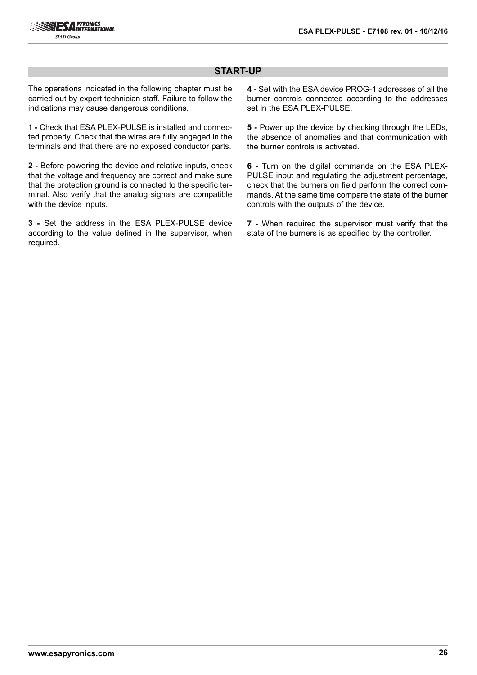## **START-UP**

The operations indicated in the following chapter must be carried out by expert technician staff. Failure to follow the indications may cause dangerous conditions.

**1 -** Check that ESA PLEX-PULSE is installed and connected properly. Check that the wires are fully engaged in the terminals and that there are no exposed conductor parts.

**2 -** Before powering the device and relative inputs, check that the voltage and frequency are correct and make sure that the protection ground is connected to the specific terminal. Also verify that the analog signals are compatible with the device inputs.

**3 -** Set the address in the ESA PLEX-PULSE device according to the value defined in the supervisor, when required.

**4 -** Set with the ESA device PROG-1 addresses of all the burner controls connected according to the addresses set in the ESA PLEX-PULSE.

**5** - Power up the device by checking through the LEDs, the absence of anomalies and that communication with the burner controls is activated.

**6 -** Turn on the digital commands on the ESA PLEX-PULSE input and regulating the adjustment percentage, check that the burners on field perform the correct commands. At the same time compare the state of the burner controls with the outputs of the device.

**7 -** When required the supervisor must verify that the state of the burners is as specified by the controller.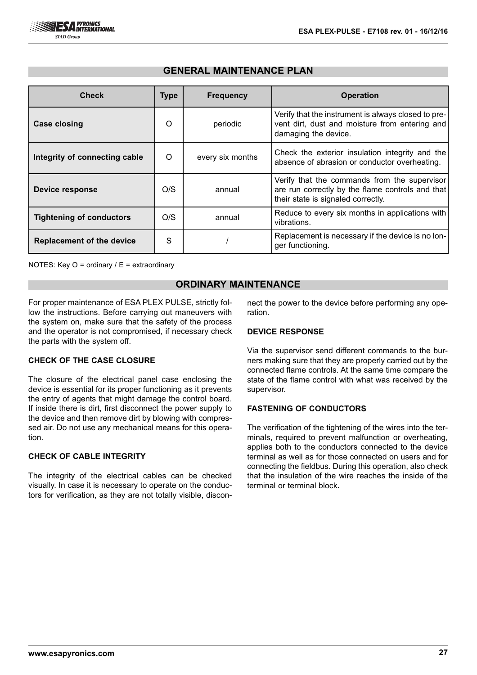## **GENERAL MAINTENANCE PLAN**

| <b>Check</b>                     | <b>Type</b> | <b>Frequency</b> | <b>Operation</b>                                                                                                                       |
|----------------------------------|-------------|------------------|----------------------------------------------------------------------------------------------------------------------------------------|
| <b>Case closing</b>              | $\Omega$    | periodic         | Verify that the instrument is always closed to pre-<br>vent dirt, dust and moisture from entering and<br>damaging the device.          |
| Integrity of connecting cable    | O           | every six months | Check the exterior insulation integrity and the<br>absence of abrasion or conductor overheating.                                       |
| <b>Device response</b>           | O/S         | annual           | Verify that the commands from the supervisor<br>are run correctly by the flame controls and that<br>their state is signaled correctly. |
| <b>Tightening of conductors</b>  | O/S         | annual           | Reduce to every six months in applications with<br>vibrations.                                                                         |
| <b>Replacement of the device</b> | S           |                  | Replacement is necessary if the device is no lon-<br>ger functioning.                                                                  |

NOTES: Key O = ordinary / E = extraordinary

## **ORDINARY MAINTENANCE**

For proper maintenance of ESA PLEX PULSE, strictly follow the instructions. Before carrying out maneuvers with the system on, make sure that the safety of the process and the operator is not compromised, if necessary check the parts with the system off.

### **CHECK OF THE CASE CLOSURE**

The closure of the electrical panel case enclosing the device is essential for its proper functioning as it prevents the entry of agents that might damage the control board. If inside there is dirt, first disconnect the power supply to the device and then remove dirt by blowing with compressed air. Do not use any mechanical means for this operation.

## **CHECK OF CABLE INTEGRITY**

The integrity of the electrical cables can be checked visually. In case it is necessary to operate on the conductors for verification, as they are not totally visible, disconnect the power to the device before performing any operation.

#### **DEVICE RESPONSE**

Via the supervisor send different commands to the burners making sure that they are properly carried out by the connected flame controls. At the same time compare the state of the flame control with what was received by the supervisor.

## **FASTENING OF CONDUCTORS**

The verification of the tightening of the wires into the terminals, required to prevent malfunction or overheating, applies both to the conductors connected to the device terminal as well as for those connected on users and for connecting the fieldbus. During this operation, also check that the insulation of the wire reaches the inside of the terminal or terminal block**.**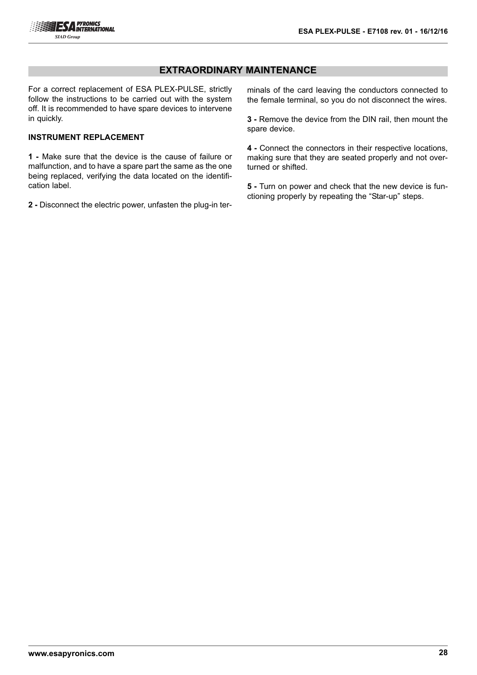## **EXTRAORDINARY MAINTENANCE**

For a correct replacement of ESA PLEX-PULSE, strictly follow the instructions to be carried out with the system off. It is recommended to have spare devices to intervene in quickly.

#### **INSTRUMENT REPLACEMENT**

**1 -** Make sure that the device is the cause of failure or malfunction, and to have a spare part the same as the one being replaced, verifying the data located on the identification label.

**2 -** Disconnect the electric power, unfasten the plug-in ter-

minals of the card leaving the conductors connected to the female terminal, so you do not disconnect the wires.

**3 -** Remove the device from the DIN rail, then mount the spare device.

**4 -** Connect the connectors in their respective locations, making sure that they are seated properly and not overturned or shifted.

**5 -** Turn on power and check that the new device is functioning properly by repeating the "Star-up" steps.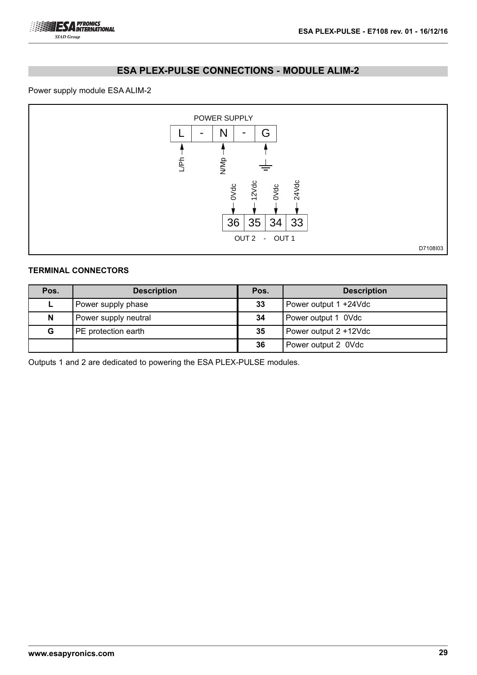

## **ESA PLEX-PULSE CONNECTIONS - MODULE ALIM-2**

## Power supply module ESA ALIM-2



## **TERMINAL CONNECTORS**

| Pos. | <b>Description</b>   | Pos. | <b>Description</b>    |
|------|----------------------|------|-----------------------|
|      | Power supply phase   | 33   | Power output 1 +24Vdc |
| N    | Power supply neutral | 34   | Power output 1 0Vdc   |
| G    | PE protection earth  | 35   | Power output 2 +12Vdc |
|      |                      | 36   | Power output 2 0Vdc   |

Outputs 1 and 2 are dedicated to powering the ESA PLEX-PULSE modules.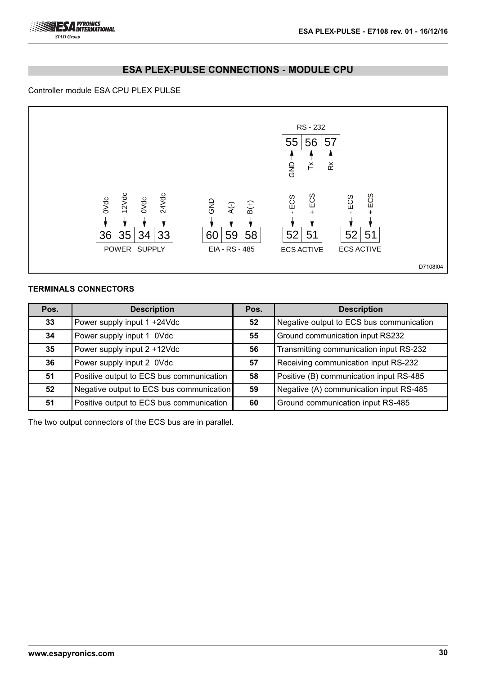## **ESA PLEX-PULSE CONNECTIONS - MODULE CPU**

#### Controller module ESA CPU PLEX PULSE



## **TERMINALS CONNECTORS**

| Pos. | <b>Description</b>                       | Pos. | <b>Description</b>                       |
|------|------------------------------------------|------|------------------------------------------|
| 33   | Power supply input 1 +24Vdc              | 52   | Negative output to ECS bus communication |
| 34   | Power supply input 1 0Vdc                | 55   | Ground communication input RS232         |
| 35   | Power supply input 2 +12Vdc              | 56   | Transmitting communication input RS-232  |
| 36   | Power supply input 2 0Vdc                | 57   | Receiving communication input RS-232     |
| 51   | Positive output to ECS bus communication | 58   | Positive (B) communication input RS-485  |
| 52   | Negative output to ECS bus communication | 59   | Negative (A) communication input RS-485  |
| 51   | Positive output to ECS bus communication | 60   | Ground communication input RS-485        |

The two output connectors of the ECS bus are in parallel.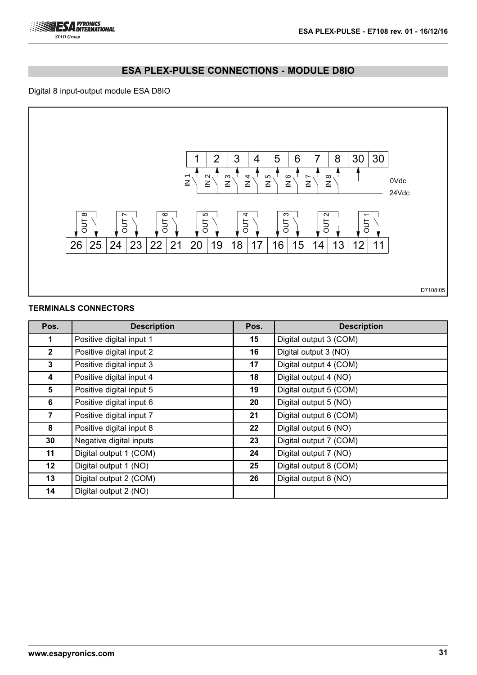

## **ESA PLEX-PULSE CONNECTIONS - MODULE D8IO**

## Digital 8 input-output module ESA D8IO



## **TERMINALS CONNECTORS**

| Pos.            | <b>Description</b>       | Pos.    | <b>Description</b>     |
|-----------------|--------------------------|---------|------------------------|
| 1               | Positive digital input 1 | 15      | Digital output 3 (COM) |
| $\mathbf{2}$    | Positive digital input 2 | 16      | Digital output 3 (NO)  |
| $3^{\circ}$     | Positive digital input 3 | 17      | Digital output 4 (COM) |
| 4               | Positive digital input 4 | 18      | Digital output 4 (NO)  |
| 5               | Positive digital input 5 | 19      | Digital output 5 (COM) |
| 6               | Positive digital input 6 | 20      | Digital output 5 (NO)  |
| 7               | Positive digital input 7 | 21      | Digital output 6 (COM) |
| 8               | Positive digital input 8 | $22 \,$ | Digital output 6 (NO)  |
| 30              | Negative digital inputs  | 23      | Digital output 7 (COM) |
| 11              | Digital output 1 (COM)   | 24      | Digital output 7 (NO)  |
| 12 <sub>2</sub> | Digital output 1 (NO)    | 25      | Digital output 8 (COM) |
| 13              | Digital output 2 (COM)   | 26      | Digital output 8 (NO)  |
| 14              | Digital output 2 (NO)    |         |                        |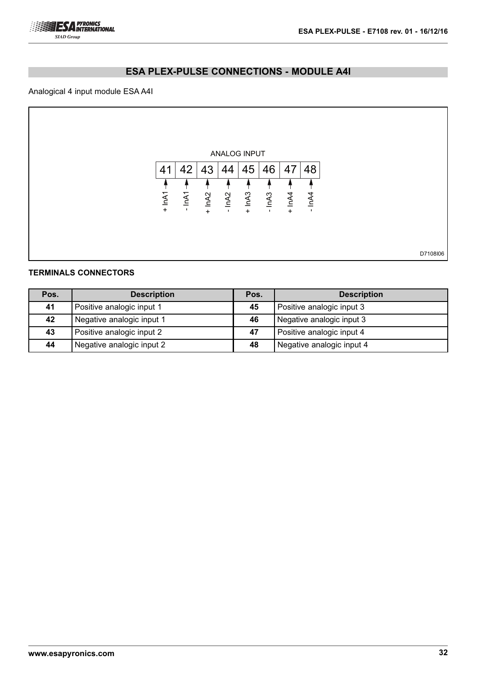

# **ESA PLEX-PULSE CONNECTIONS - MODULE A4I**

## Analogical 4 input module ESA A4I

| 42           | 41   |
|--------------|------|
|              |      |
| IM1          | InA1 |
| $\mathbf{I}$ | $+$  |
|              |      |
|              |      |
|              |      |

## **TERMINALS CONNECTORS**

| Pos. | <b>Description</b>        | Pos. | <b>Description</b>        |
|------|---------------------------|------|---------------------------|
| 41   | Positive analogic input 1 | 45   | Positive analogic input 3 |
| 42   | Negative analogic input 1 | 46   | Negative analogic input 3 |
| 43   | Positive analogic input 2 | 47   | Positive analogic input 4 |
| 44   | Negative analogic input 2 | 48   | Negative analogic input 4 |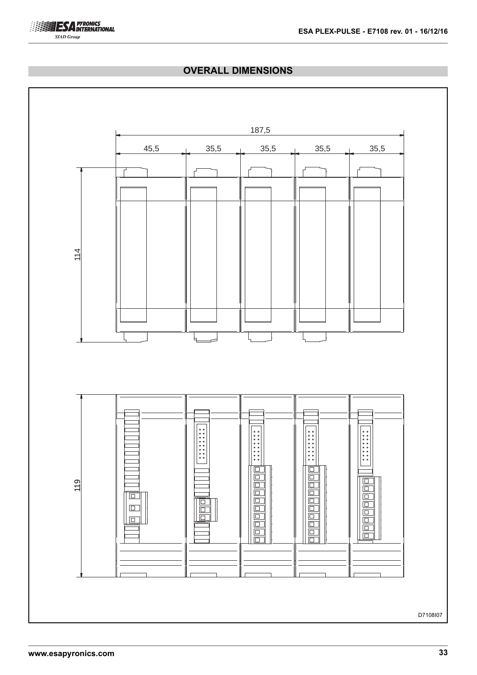

## **OVERALL DIMENSIONS**

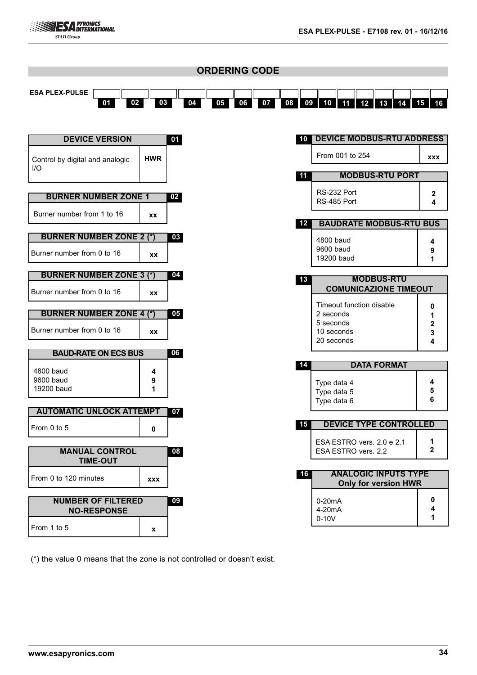| <b>ORDERING CODE</b>                   |            |    |    |    |    |         |                                                            |                   |
|----------------------------------------|------------|----|----|----|----|---------|------------------------------------------------------------|-------------------|
| <b>ESA PLEX-PULSE</b><br>02<br>01      | 03         | 04 | 05 | 06 | 07 | 08      | 12<br>09<br>10<br>11<br>13<br>14                           | $15$ 16           |
|                                        |            |    |    |    |    |         |                                                            |                   |
| <b>DEVICE VERSION</b>                  |            | 01 |    |    |    |         | <b>10 DEVICE MODBUS-RTU ADDRESS</b>                        |                   |
| Control by digital and analogic<br>I/O | <b>HWR</b> |    |    |    |    |         | From 001 to 254                                            | <b>XXX</b>        |
|                                        |            |    |    |    |    | 11      | <b>MODBUS-RTU PORT</b>                                     |                   |
| <b>BURNER NUMBER ZONE 1</b>            |            | 02 |    |    |    |         | RS-232 Port<br>RS-485 Port                                 | 2<br>4            |
| Burner number from 1 to 16             | XX         |    |    |    |    | $12 \,$ | <b>BAUDRATE MODBUS-RTU BUS</b>                             |                   |
| <b>BURNER NUMBER ZONE 2 (*)</b>        |            | 03 |    |    |    |         |                                                            |                   |
| Burner number from 0 to 16             | <b>XX</b>  |    |    |    |    |         | 4800 baud<br>9600 baud<br>19200 baud                       | 4<br>9<br>1       |
| <b>BURNER NUMBER ZONE 3 (*)</b>        |            | 04 |    |    |    | 13      | <b>MODBUS-RTU</b>                                          |                   |
| Burner number from 0 to 16             | <b>XX</b>  |    |    |    |    |         | <b>COMUNICAZIONE TIMEOUT</b>                               |                   |
|                                        |            |    |    |    |    |         | Timeout function disable                                   | 0                 |
| <b>BURNER NUMBER ZONE 4 (*)</b>        |            | 05 |    |    |    |         | 2 seconds<br>5 seconds                                     | 1<br>2            |
| Burner number from 0 to 16             | <b>XX</b>  |    |    |    |    |         | 10 seconds<br>20 seconds                                   | 3<br>4            |
| <b>BAUD-RATE ON ECS BUS</b>            |            | 06 |    |    |    |         |                                                            |                   |
| 4800 baud                              | 4          |    |    |    |    | 14      | <b>DATA FORMAT</b>                                         |                   |
| 9600 baud<br>19200 baud                | 9<br>1     |    |    |    |    |         | Type data 4                                                | 4<br>5            |
|                                        |            |    |    |    |    |         | Type data 5<br>Type data 6                                 | 6                 |
| <b>AUTOMATIC UNLOCK ATTEMPT</b>        |            | 07 |    |    |    |         |                                                            |                   |
| From 0 to 5                            | 0          |    |    |    |    | 15      | <b>DEVICE TYPE CONTROLLED</b>                              |                   |
| <b>MANUAL CONTROL</b>                  |            | 08 |    |    |    |         | ESA ESTRO vers. 2.0 e 2.1<br>ESA ESTRO vers. 2.2           | 1<br>$\mathbf{2}$ |
| <b>TIME-OUT</b>                        |            |    |    |    |    |         |                                                            |                   |
| From 0 to 120 minutes                  | <b>XXX</b> |    |    |    |    | 16      | <b>ANALOGIC INPUTS TYPE</b><br><b>Only for version HWR</b> |                   |
| <b>NUMBER OF FILTERED</b>              |            | 09 |    |    |    |         | $0-20mA$                                                   | 0                 |
| <b>NO-RESPONSE</b>                     |            |    |    |    |    |         | 4-20mA<br>$0-10V$                                          | 4<br>1            |
| From 1 to 5                            | x          |    |    |    |    |         |                                                            |                   |

(\*) the value 0 means that the zone is not controlled or doesn't exist.

**ESA PYRONICS**<br> **ESA INTERNATIONAL SIAD Group**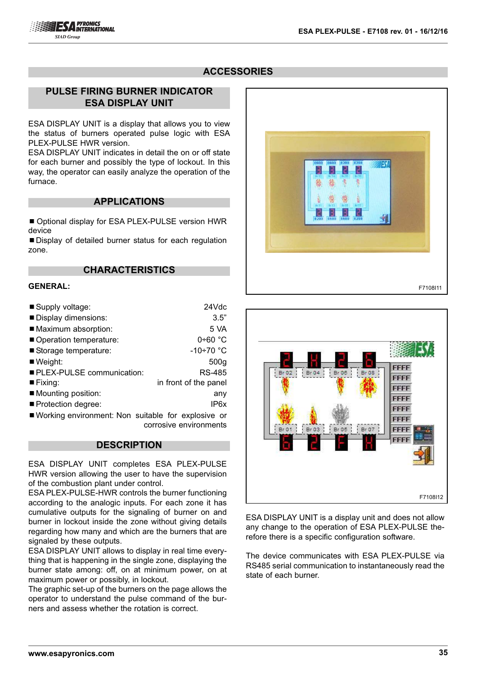# **ACCESSORIES**

## **PULSE FIRING BURNER INDICATOR ESA DISPLAY UNIT**

ESA DISPLAY UNIT is a display that allows you to view the status of burners operated pulse logic with ESA PLEX-PULSE HWR version.

ESA DISPLAY UNIT indicates in detail the on or off state for each burner and possibly the type of lockout. In this way, the operator can easily analyze the operation of the furnace.

### **APPLICATIONS**

■ Optional display for ESA PLEX-PULSE version HWR device

■ Display of detailed burner status for each regulation zone.

## **CHARACTERISTICS**

#### **GENERAL:**

| Supply voltage:                                    | 24Vdc                 |
|----------------------------------------------------|-----------------------|
| Display dimensions:                                | 3.5"                  |
| ■ Maximum absorption:                              | 5 VA                  |
| Operation temperature:                             | $0+60$ °C             |
| Storage temperature:                               | $-10+70$ °C           |
| $\blacksquare$ Weight:                             | 500 <sub>g</sub>      |
| PLEX-PULSE communication:                          | RS-485                |
| $\blacksquare$ Fixing:                             | in front of the panel |
| ■ Mounting position:                               | any                   |
| ■ Protection degree:                               | IP6x                  |
| Working environment: Non suitable for explosive or |                       |

working environment: Non corrosive environments

#### **DESCRIPTION**

ESA DISPLAY UNIT completes ESA PLEX-PULSE HWR version allowing the user to have the supervision of the combustion plant under control.

ESA PLEX-PULSE-HWR controls the burner functioning according to the analogic inputs. For each zone it has cumulative outputs for the signaling of burner on and burner in lockout inside the zone without giving details regarding how many and which are the burners that are signaled by these outputs.

ESA DISPLAY UNIT allows to display in real time everything that is happening in the single zone, displaying the burner state among: off, on at minimum power, on at maximum power or possibly, in lockout.

The graphic set-up of the burners on the page allows the operator to understand the pulse command of the burners and assess whether the rotation is correct.





ESA DISPLAY UNIT is a display unit and does not allow any change to the operation of ESA PLEX-PULSE therefore there is a specific configuration software.

The device communicates with ESA PLEX-PULSE via RS485 serial communication to instantaneously read the state of each burner.